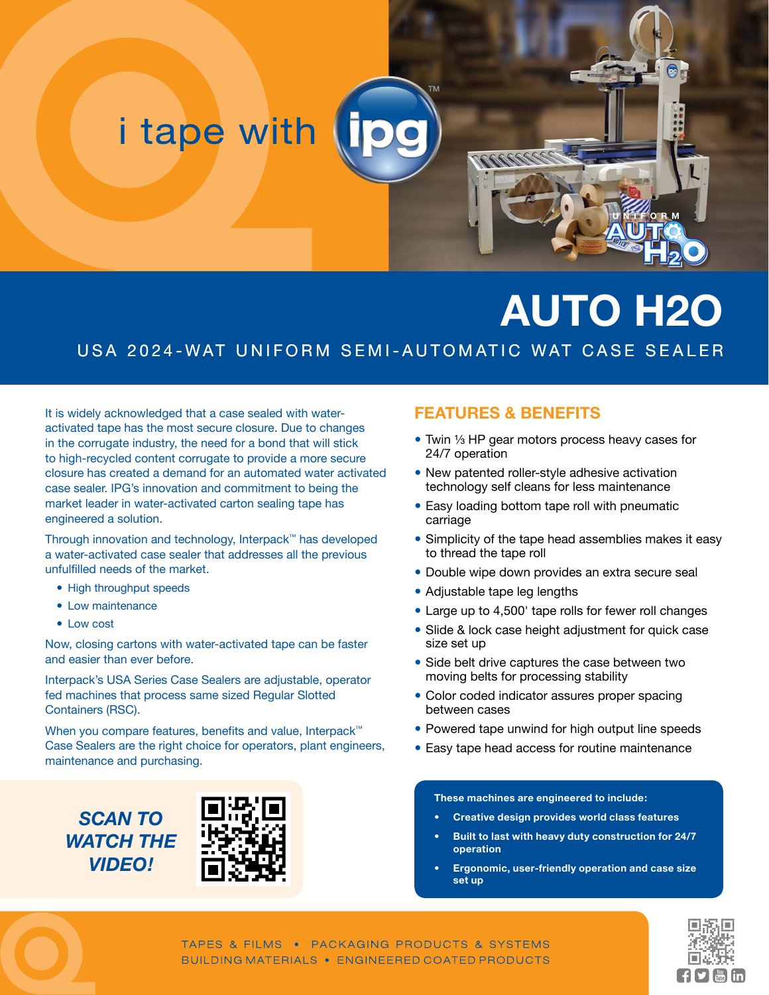# i tape with

# **AUTO H2O**

**UNIFORM**

#### USA 2024-WAT UNIFORM SEMI-AUTOMATIC WAT CASE SEALER

It is widely acknowledged that a case sealed with wateractivated tape has the most secure closure. Due to changes in the corrugate industry, the need for a bond that will stick to high-recycled content corrugate to provide a more secure closure has created a demand for an automated water activated case sealer. IPG's innovation and commitment to being the market leader in water-activated carton sealing tape has engineered a solution.

Through innovation and technology, Interpack™ has developed a water-activated case sealer that addresses all the previous unfulfilled needs of the market.

- High throughput speeds
- Low maintenance
- Low cost

Now, closing cartons with water-activated tape can be faster and easier than ever before.

Interpack's USA Series Case Sealers are adjustable, operator fed machines that process same sized Regular Slotted Containers (RSC).

When you compare features, benefits and value, Interpack<sup>™</sup> Case Sealers are the right choice for operators, plant engineers, maintenance and purchasing.

*SCAN TO WATCH THE VIDEO!*



#### **FEATURES & BENEFITS**

- Twin ⅓ HP gear motors process heavy cases for 24/7 operation
- New patented roller-style adhesive activation technology self cleans for less maintenance
- Easy loading bottom tape roll with pneumatic carriage
- Simplicity of the tape head assemblies makes it easy to thread the tape roll
- Double wipe down provides an extra secure seal
- Adjustable tape leg lengths
- Large up to 4,500' tape rolls for fewer roll changes
- Slide & lock case height adjustment for quick case size set up
- Side belt drive captures the case between two moving belts for processing stability
- Color coded indicator assures proper spacing between cases
- Powered tape unwind for high output line speeds
- Easy tape head access for routine maintenance

#### **These machines are engineered to include:**

- **• Creative design provides world class features**
- **Built to last with heavy duty construction for 24/7 operation**
- **• Ergonomic, user-friendly operation and case size set up**

TAPES & FILMS . PACKAGING PRODUCTS & SYSTEMS BUILDING MATERIALS . ENGINEERED COATED PRODUCTS